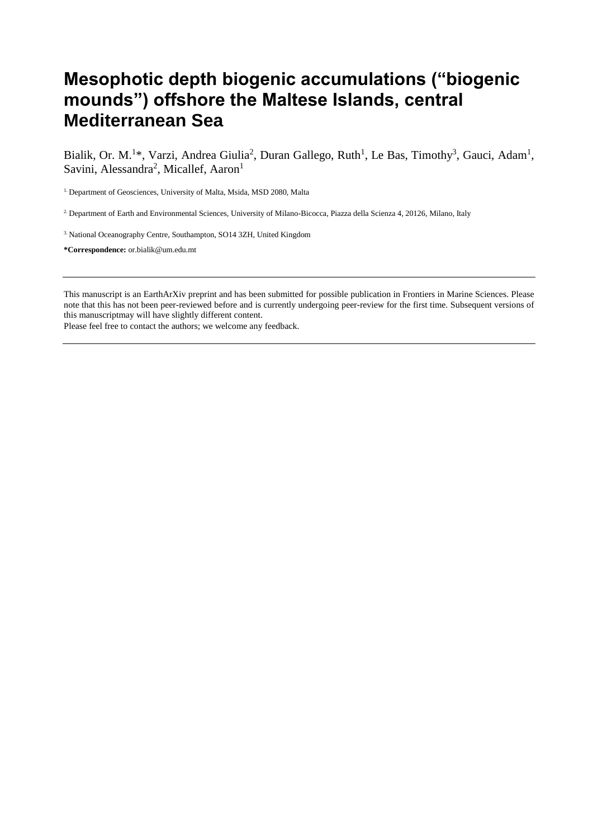# **Mesophotic depth biogenic accumulations ("biogenic mounds") offshore the Maltese Islands, central Mediterranean Sea**

Bialik, Or. M.<sup>1\*</sup>, Varzi, Andrea Giulia<sup>2</sup>, Duran Gallego, Ruth<sup>1</sup>, Le Bas, Timothy<sup>3</sup>, Gauci, Adam<sup>1</sup>, Savini, Alessandra<sup>2</sup>, Micallef, Aaron<sup>1</sup>

<sup>1.</sup> Department of Geosciences, University of Malta, Msida, MSD 2080, Malta

2. Department of Earth and Environmental Sciences, University of Milano-Bicocca, Piazza della Scienza 4, 20126, Milano, Italy

3. National Oceanography Centre, Southampton, SO14 3ZH, United Kingdom

**\*Correspondence:** or.bialik@um.edu.mt

This manuscript is an EarthArXiv preprint and has been submitted for possible publication in Frontiers in Marine Sciences. Please note that this has not been peer-reviewed before and is currently undergoing peer-review for the first time. Subsequent versions of this manuscriptmay will have slightly different content.

Please feel free to contact the authors; we welcome any feedback.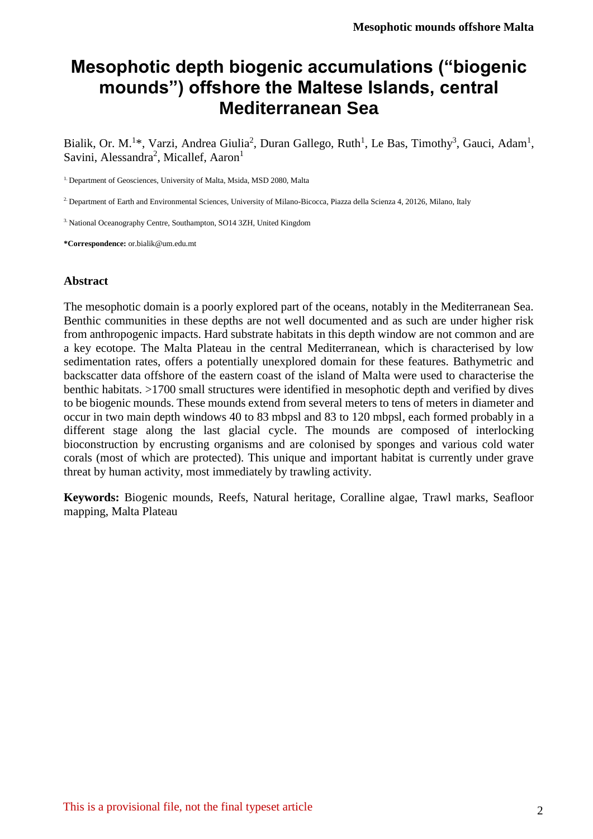# **Mesophotic depth biogenic accumulations ("biogenic mounds") offshore the Maltese Islands, central Mediterranean Sea**

Bialik, Or. M.<sup>1\*</sup>, Varzi, Andrea Giulia<sup>2</sup>, Duran Gallego, Ruth<sup>1</sup>, Le Bas, Timothy<sup>3</sup>, Gauci, Adam<sup>1</sup>, Savini, Alessandra<sup>2</sup>, Micallef, Aaron<sup>1</sup>

<sup>1.</sup> Department of Geosciences, University of Malta, Msida, MSD 2080, Malta

2. Department of Earth and Environmental Sciences, University of Milano-Bicocca, Piazza della Scienza 4, 20126, Milano, Italy

3. National Oceanography Centre, Southampton, SO14 3ZH, United Kingdom

**\*Correspondence:** or.bialik@um.edu.mt

#### **Abstract**

The mesophotic domain is a poorly explored part of the oceans, notably in the Mediterranean Sea. Benthic communities in these depths are not well documented and as such are under higher risk from anthropogenic impacts. Hard substrate habitats in this depth window are not common and are a key ecotope. The Malta Plateau in the central Mediterranean, which is characterised by low sedimentation rates, offers a potentially unexplored domain for these features. Bathymetric and backscatter data offshore of the eastern coast of the island of Malta were used to characterise the benthic habitats. >1700 small structures were identified in mesophotic depth and verified by dives to be biogenic mounds. These mounds extend from several meters to tens of meters in diameter and occur in two main depth windows 40 to 83 mbpsl and 83 to 120 mbpsl, each formed probably in a different stage along the last glacial cycle. The mounds are composed of interlocking bioconstruction by encrusting organisms and are colonised by sponges and various cold water corals (most of which are protected). This unique and important habitat is currently under grave threat by human activity, most immediately by trawling activity.

**Keywords:** Biogenic mounds, Reefs, Natural heritage, Coralline algae, Trawl marks, Seafloor mapping, Malta Plateau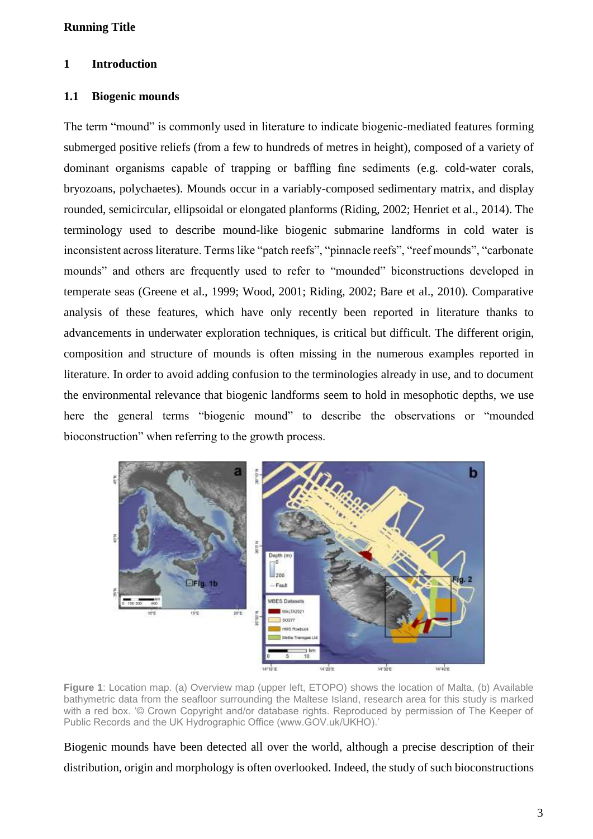#### **1 Introduction**

# **1.1 Biogenic mounds**

The term "mound" is commonly used in literature to indicate biogenic-mediated features forming submerged positive reliefs (from a few to hundreds of metres in height), composed of a variety of dominant organisms capable of trapping or baffling fine sediments (e.g. cold-water corals, bryozoans, polychaetes). Mounds occur in a variably-composed sedimentary matrix, and display rounded, semicircular, ellipsoidal or elongated planforms (Riding, 2002; Henriet et al., 2014). The terminology used to describe mound-like biogenic submarine landforms in cold water is inconsistent across literature. Terms like "patch reefs", "pinnacle reefs", "reef mounds", "carbonate mounds" and others are frequently used to refer to "mounded" biconstructions developed in temperate seas (Greene et al., 1999; Wood, 2001; Riding, 2002; Bare et al., 2010). Comparative analysis of these features, which have only recently been reported in literature thanks to advancements in underwater exploration techniques, is critical but difficult. The different origin, composition and structure of mounds is often missing in the numerous examples reported in literature. In order to avoid adding confusion to the terminologies already in use, and to document the environmental relevance that biogenic landforms seem to hold in mesophotic depths, we use here the general terms "biogenic mound" to describe the observations or "mounded bioconstruction" when referring to the growth process.



**Figure 1**: Location map. (a) Overview map (upper left, ETOPO) shows the location of Malta, (b) Available bathymetric data from the seafloor surrounding the Maltese Island, research area for this study is marked with a red box. '© Crown Copyright and/or database rights. Reproduced by permission of The Keeper of Public Records and the UK Hydrographic Office (www.GOV.uk/UKHO).'

Biogenic mounds have been detected all over the world, although a precise description of their distribution, origin and morphology is often overlooked. Indeed, the study of such bioconstructions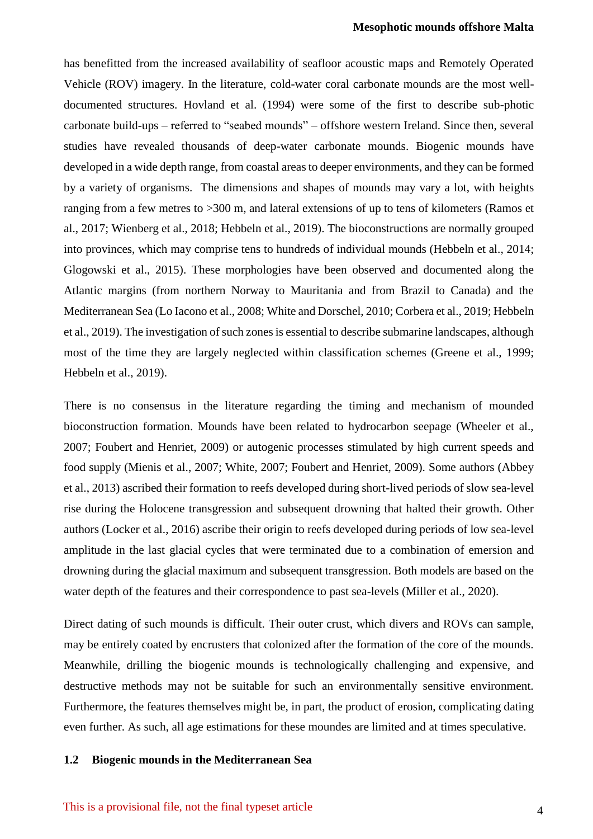has benefitted from the increased availability of seafloor acoustic maps and Remotely Operated Vehicle (ROV) imagery. In the literature, cold-water coral carbonate mounds are the most welldocumented structures. Hovland et al. (1994) were some of the first to describe sub-photic carbonate build-ups – referred to "seabed mounds" – offshore western Ireland. Since then, several studies have revealed thousands of deep-water carbonate mounds. Biogenic mounds have developed in a wide depth range, from coastal areas to deeper environments, and they can be formed by a variety of organisms. The dimensions and shapes of mounds may vary a lot, with heights ranging from a few metres to >300 m, and lateral extensions of up to tens of kilometers (Ramos et al., 2017; Wienberg et al., 2018; Hebbeln et al., 2019). The bioconstructions are normally grouped into provinces, which may comprise tens to hundreds of individual mounds (Hebbeln et al., 2014; Glogowski et al., 2015). These morphologies have been observed and documented along the Atlantic margins (from northern Norway to Mauritania and from Brazil to Canada) and the Mediterranean Sea (Lo Iacono et al., 2008; White and Dorschel, 2010; Corbera et al., 2019; Hebbeln et al., 2019). The investigation of such zones is essential to describe submarine landscapes, although most of the time they are largely neglected within classification schemes (Greene et al., 1999; Hebbeln et al., 2019).

There is no consensus in the literature regarding the timing and mechanism of mounded bioconstruction formation. Mounds have been related to hydrocarbon seepage (Wheeler et al., 2007; Foubert and Henriet, 2009) or autogenic processes stimulated by high current speeds and food supply (Mienis et al., 2007; White, 2007; Foubert and Henriet, 2009). Some authors (Abbey et al., 2013) ascribed their formation to reefs developed during short-lived periods of slow sea-level rise during the Holocene transgression and subsequent drowning that halted their growth. Other authors (Locker et al., 2016) ascribe their origin to reefs developed during periods of low sea-level amplitude in the last glacial cycles that were terminated due to a combination of emersion and drowning during the glacial maximum and subsequent transgression. Both models are based on the water depth of the features and their correspondence to past sea-levels (Miller et al., 2020).

Direct dating of such mounds is difficult. Their outer crust, which divers and ROVs can sample, may be entirely coated by encrusters that colonized after the formation of the core of the mounds. Meanwhile, drilling the biogenic mounds is technologically challenging and expensive, and destructive methods may not be suitable for such an environmentally sensitive environment. Furthermore, the features themselves might be, in part, the product of erosion, complicating dating even further. As such, all age estimations for these moundes are limited and at times speculative.

#### **1.2 Biogenic mounds in the Mediterranean Sea**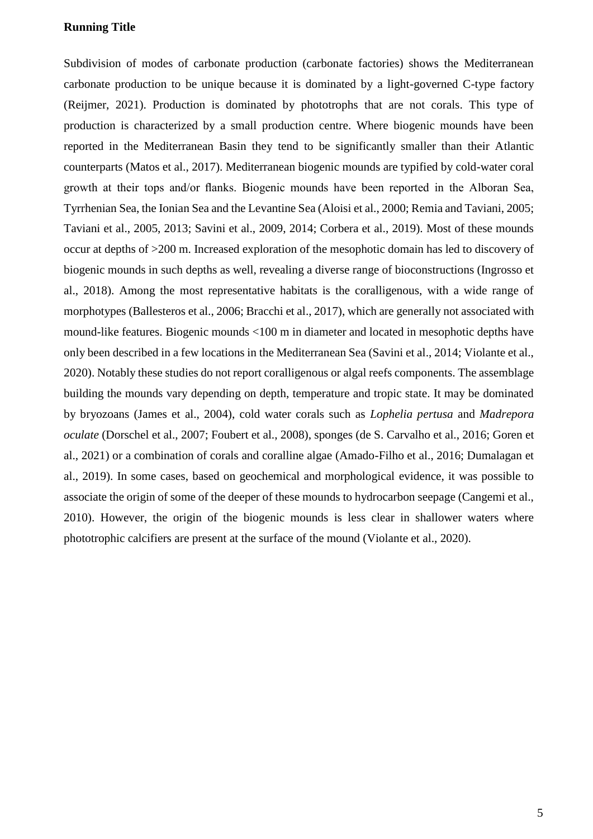Subdivision of modes of carbonate production (carbonate factories) shows the Mediterranean carbonate production to be unique because it is dominated by a light-governed C-type factory (Reijmer, 2021). Production is dominated by phototrophs that are not corals. This type of production is characterized by a small production centre. Where biogenic mounds have been reported in the Mediterranean Basin they tend to be significantly smaller than their Atlantic counterparts (Matos et al., 2017). Mediterranean biogenic mounds are typified by cold-water coral growth at their tops and/or flanks. Biogenic mounds have been reported in the Alboran Sea, Tyrrhenian Sea, the Ionian Sea and the Levantine Sea (Aloisi et al., 2000; Remia and Taviani, 2005; Taviani et al., 2005, 2013; Savini et al., 2009, 2014; Corbera et al., 2019). Most of these mounds occur at depths of >200 m. Increased exploration of the mesophotic domain has led to discovery of biogenic mounds in such depths as well, revealing a diverse range of bioconstructions (Ingrosso et al., 2018). Among the most representative habitats is the coralligenous, with a wide range of morphotypes (Ballesteros et al., 2006; Bracchi et al., 2017), which are generally not associated with mound-like features. Biogenic mounds <100 m in diameter and located in mesophotic depths have only been described in a few locations in the Mediterranean Sea (Savini et al., 2014; Violante et al., 2020). Notably these studies do not report coralligenous or algal reefs components. The assemblage building the mounds vary depending on depth, temperature and tropic state. It may be dominated by bryozoans (James et al., 2004), cold water corals such as *Lophelia pertusa* and *Madrepora oculate* (Dorschel et al., 2007; Foubert et al., 2008), sponges (de S. Carvalho et al., 2016; Goren et al., 2021) or a combination of corals and coralline algae (Amado-Filho et al., 2016; Dumalagan et al., 2019). In some cases, based on geochemical and morphological evidence, it was possible to associate the origin of some of the deeper of these mounds to hydrocarbon seepage (Cangemi et al., 2010). However, the origin of the biogenic mounds is less clear in shallower waters where phototrophic calcifiers are present at the surface of the mound (Violante et al., 2020).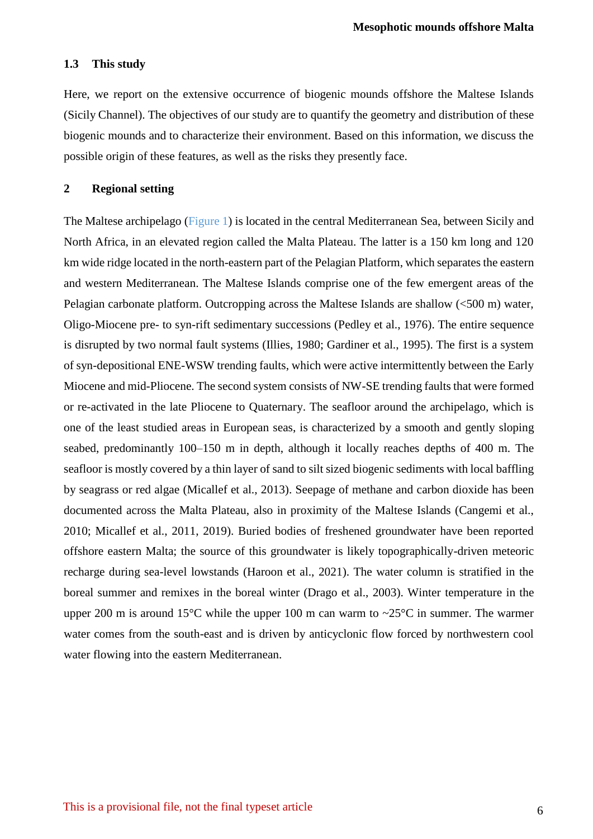#### **1.3 This study**

Here, we report on the extensive occurrence of biogenic mounds offshore the Maltese Islands (Sicily Channel). The objectives of our study are to quantify the geometry and distribution of these biogenic mounds and to characterize their environment. Based on this information, we discuss the possible origin of these features, as well as the risks they presently face.

#### **2 Regional setting**

The Maltese archipelago (Figure 1) is located in the central Mediterranean Sea, between Sicily and North Africa, in an elevated region called the Malta Plateau. The latter is a 150 km long and 120 km wide ridge located in the north-eastern part of the Pelagian Platform, which separates the eastern and western Mediterranean. The Maltese Islands comprise one of the few emergent areas of the Pelagian carbonate platform. Outcropping across the Maltese Islands are shallow (<500 m) water, Oligo-Miocene pre- to syn-rift sedimentary successions (Pedley et al., 1976). The entire sequence is disrupted by two normal fault systems (Illies, 1980; Gardiner et al., 1995). The first is a system of syn-depositional ENE-WSW trending faults, which were active intermittently between the Early Miocene and mid-Pliocene. The second system consists of NW-SE trending faults that were formed or re-activated in the late Pliocene to Quaternary. The seafloor around the archipelago, which is one of the least studied areas in European seas, is characterized by a smooth and gently sloping seabed, predominantly 100–150 m in depth, although it locally reaches depths of 400 m. The seafloor is mostly covered by a thin layer of sand to silt sized biogenic sediments with local baffling by seagrass or red algae (Micallef et al., 2013). Seepage of methane and carbon dioxide has been documented across the Malta Plateau, also in proximity of the Maltese Islands (Cangemi et al., 2010; Micallef et al., 2011, 2019). Buried bodies of freshened groundwater have been reported offshore eastern Malta; the source of this groundwater is likely topographically-driven meteoric recharge during sea-level lowstands (Haroon et al., 2021). The water column is stratified in the boreal summer and remixes in the boreal winter (Drago et al., 2003). Winter temperature in the upper 200 m is around 15°C while the upper 100 m can warm to  $\sim$ 25°C in summer. The warmer water comes from the south-east and is driven by anticyclonic flow forced by northwestern cool water flowing into the eastern Mediterranean.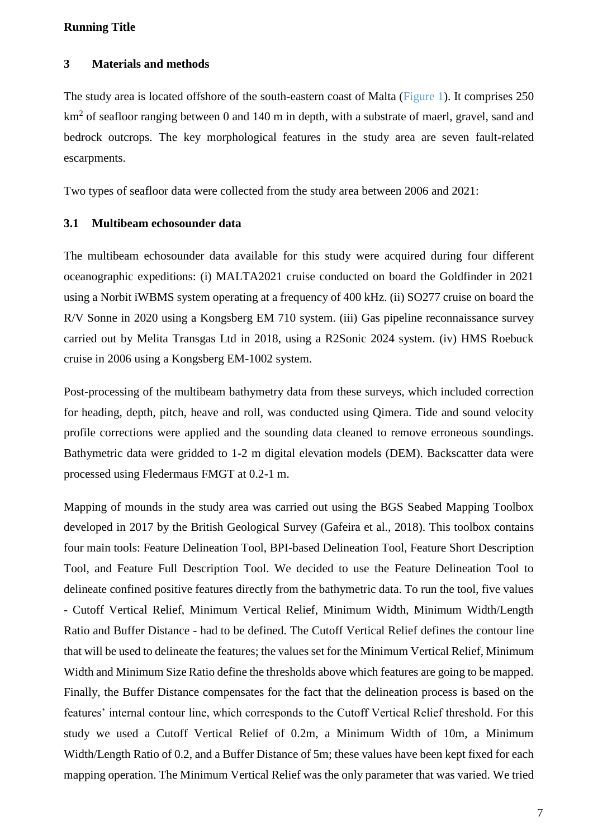### **3 Materials and methods**

The study area is located offshore of the south-eastern coast of Malta (Figure 1). It comprises 250 km<sup>2</sup> of seafloor ranging between 0 and 140 m in depth, with a substrate of maerl, gravel, sand and bedrock outcrops. The key morphological features in the study area are seven fault-related escarpments.

Two types of seafloor data were collected from the study area between 2006 and 2021:

#### **3.1 Multibeam echosounder data**

The multibeam echosounder data available for this study were acquired during four different oceanographic expeditions: (i) MALTA2021 cruise conducted on board the Goldfinder in 2021 using a Norbit iWBMS system operating at a frequency of 400 kHz. (ii) SO277 cruise on board the R/V Sonne in 2020 using a Kongsberg EM 710 system. (iii) Gas pipeline reconnaissance survey carried out by Melita Transgas Ltd in 2018, using a R2Sonic 2024 system. (iv) HMS Roebuck cruise in 2006 using a Kongsberg EM-1002 system.

Post-processing of the multibeam bathymetry data from these surveys, which included correction for heading, depth, pitch, heave and roll, was conducted using Qimera. Tide and sound velocity profile corrections were applied and the sounding data cleaned to remove erroneous soundings. Bathymetric data were gridded to 1-2 m digital elevation models (DEM). Backscatter data were processed using Fledermaus FMGT at 0.2-1 m.

Mapping of mounds in the study area was carried out using the BGS Seabed Mapping Toolbox developed in 2017 by the British Geological Survey (Gafeira et al., 2018). This toolbox contains four main tools: Feature Delineation Tool, BPI-based Delineation Tool, Feature Short Description Tool, and Feature Full Description Tool. We decided to use the Feature Delineation Tool to delineate confined positive features directly from the bathymetric data. To run the tool, five values - Cutoff Vertical Relief, Minimum Vertical Relief, Minimum Width, Minimum Width/Length Ratio and Buffer Distance - had to be defined. The Cutoff Vertical Relief defines the contour line that will be used to delineate the features; the values set for the Minimum Vertical Relief, Minimum Width and Minimum Size Ratio define the thresholds above which features are going to be mapped. Finally, the Buffer Distance compensates for the fact that the delineation process is based on the features' internal contour line, which corresponds to the Cutoff Vertical Relief threshold. For this study we used a Cutoff Vertical Relief of 0.2m, a Minimum Width of 10m, a Minimum Width/Length Ratio of 0.2, and a Buffer Distance of 5m; these values have been kept fixed for each mapping operation. The Minimum Vertical Relief was the only parameter that was varied. We tried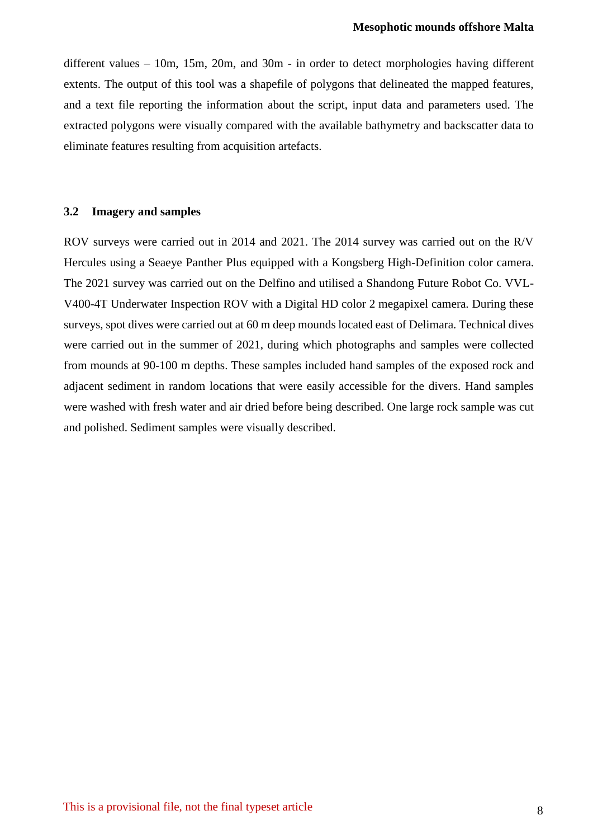different values – 10m, 15m, 20m, and 30m - in order to detect morphologies having different extents. The output of this tool was a shapefile of polygons that delineated the mapped features, and a text file reporting the information about the script, input data and parameters used. The extracted polygons were visually compared with the available bathymetry and backscatter data to eliminate features resulting from acquisition artefacts.

#### **3.2 Imagery and samples**

ROV surveys were carried out in 2014 and 2021. The 2014 survey was carried out on the R/V Hercules using a Seaeye Panther Plus equipped with a Kongsberg High-Definition color camera. The 2021 survey was carried out on the Delfino and utilised a Shandong Future Robot Co. VVL-V400-4T Underwater Inspection ROV with a Digital HD color 2 megapixel camera. During these surveys, spot dives were carried out at 60 m deep mounds located east of Delimara. Technical dives were carried out in the summer of 2021, during which photographs and samples were collected from mounds at 90-100 m depths. These samples included hand samples of the exposed rock and adjacent sediment in random locations that were easily accessible for the divers. Hand samples were washed with fresh water and air dried before being described. One large rock sample was cut and polished. Sediment samples were visually described.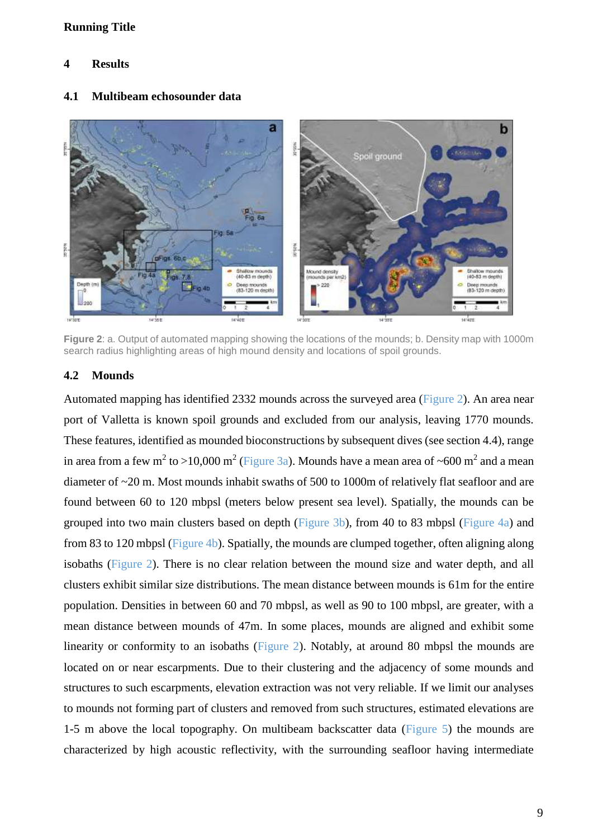# **4 Results**

#### a h Spoil ground ig. 6a Ř Ř Mound density Shallow mounds<br>(40-83 m depth) Shallow mounds<br>(40-83 m depth) Depth (r Deep mounds<br>(83-120 m depth 220 .<br>Deep mounds<br>(83-120 m depth)  $200$ 14 SOT  $14'30E$ terane 14:422 14'30'E

#### **4.1 Multibeam echosounder data**

**Figure 2**: a. Output of automated mapping showing the locations of the mounds; b. Density map with 1000m search radius highlighting areas of high mound density and locations of spoil grounds.

# **4.2 Mounds**

Automated mapping has identified 2332 mounds across the surveved area (Figure 2). An area near port of Valletta is known spoil grounds and excluded from our analysis, leaving 1770 mounds. These features, identified as mounded bioconstructions by subsequent dives (see section 4.4), range in area from a few m<sup>2</sup> to >10,000 m<sup>2</sup> (Figure 3a). Mounds have a mean area of ~600 m<sup>2</sup> and a mean diameter of ~20 m. Most mounds inhabit swaths of 500 to 1000m of relatively flat seafloor and are found between 60 to 120 mbpsl (meters below present sea level). Spatially, the mounds can be grouped into two main clusters based on depth (Figure 3b), from 40 to 83 mbpsl (Figure 4a) and from 83 to 120 mbpsl (Figure 4b). Spatially, the mounds are clumped together, often aligning along isobaths (Figure 2). There is no clear relation between the mound size and water depth, and all clusters exhibit similar size distributions. The mean distance between mounds is 61m for the entire population. Densities in between 60 and 70 mbpsl, as well as 90 to 100 mbpsl, are greater, with a mean distance between mounds of 47m. In some places, mounds are aligned and exhibit some linearity or conformity to an isobaths (Figure 2). Notably, at around 80 mbpsl the mounds are located on or near escarpments. Due to their clustering and the adjacency of some mounds and structures to such escarpments, elevation extraction was not very reliable. If we limit our analyses to mounds not forming part of clusters and removed from such structures, estimated elevations are 1-5 m above the local topography. On multibeam backscatter data (Figure 5) the mounds are characterized by high acoustic reflectivity, with the surrounding seafloor having intermediate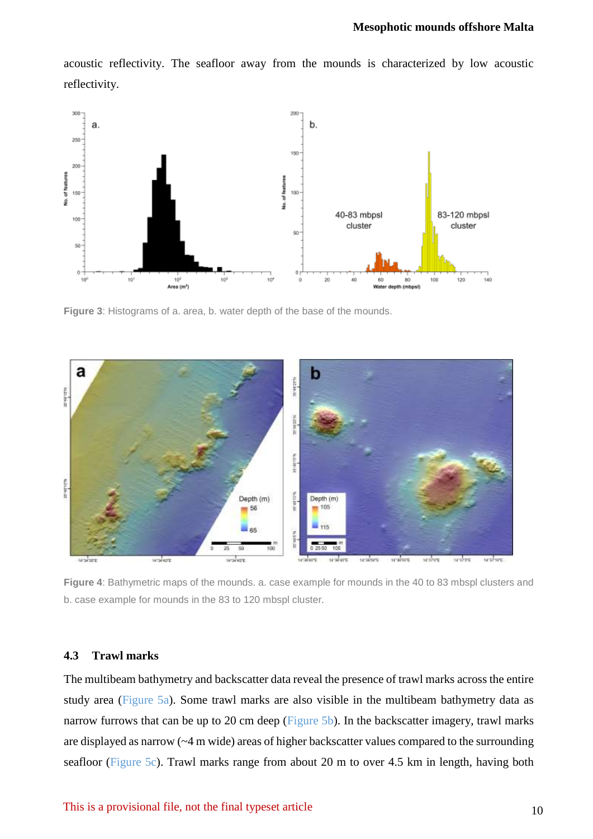acoustic reflectivity. The seafloor away from the mounds is characterized by low acoustic reflectivity.



**Figure 3**: Histograms of a. area, b. water depth of the base of the mounds.



**Figure 4**: Bathymetric maps of the mounds. a. case example for mounds in the 40 to 83 mbspl clusters and b. case example for mounds in the 83 to 120 mbspl cluster*.*

# **4.3 Trawl marks**

The multibeam bathymetry and backscatter data reveal the presence of trawl marks across the entire study area (Figure 5a). Some trawl marks are also visible in the multibeam bathymetry data as narrow furrows that can be up to 20 cm deep (Figure 5b). In the backscatter imagery, trawl marks are displayed as narrow (~4 m wide) areas of higher backscatter values compared to the surrounding seafloor (Figure 5c). Trawl marks range from about 20 m to over 4.5 km in length, having both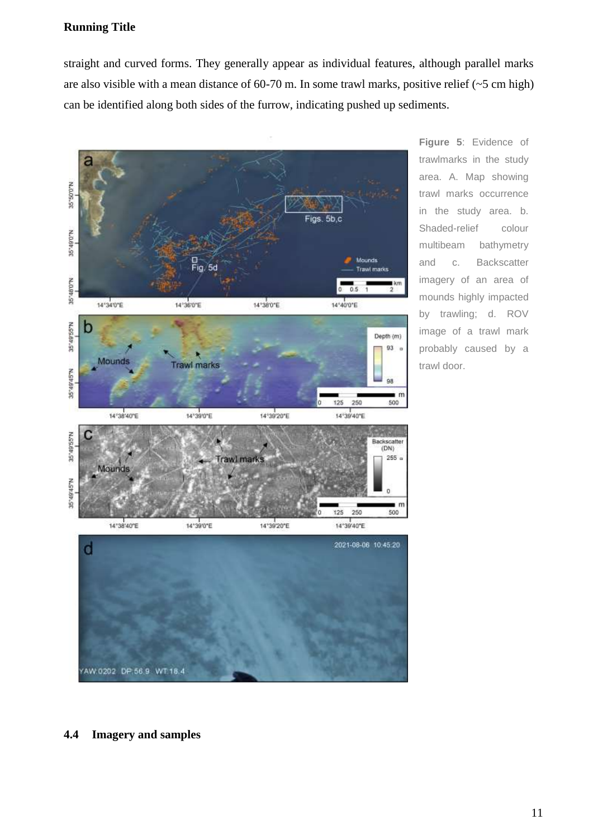straight and curved forms. They generally appear as individual features, although parallel marks are also visible with a mean distance of 60-70 m. In some trawl marks, positive relief  $(\sim 5 \text{ cm high})$ can be identified along both sides of the furrow, indicating pushed up sediments.



**Figure 5**: Evidence of trawlmarks in the study area. A. Map showing trawl marks occurrence in the study area. b. Shaded-relief colour multibeam bathymetry and c. Backscatter imagery of an area of mounds highly impacted by trawling; d. ROV image of a trawl mark probably caused by a trawl door.

#### **4.4 Imagery and samples**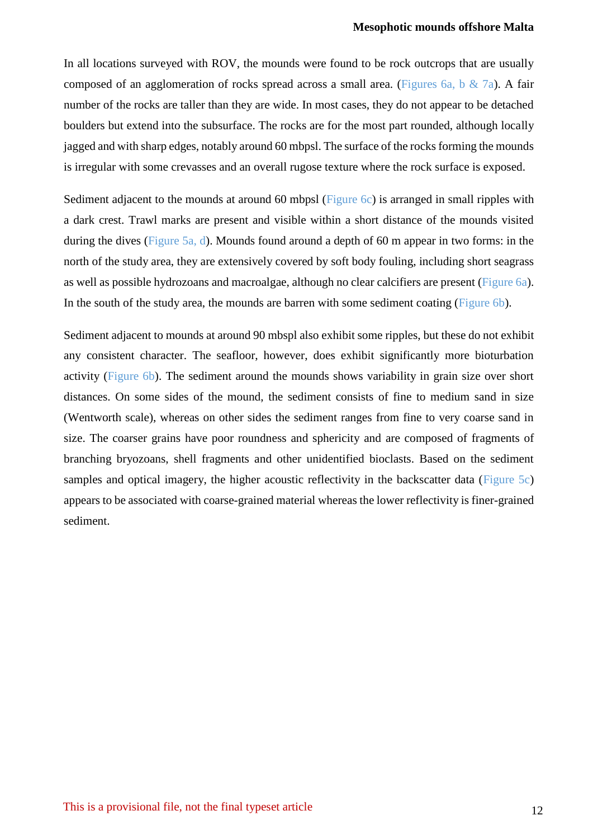In all locations surveyed with ROV, the mounds were found to be rock outcrops that are usually composed of an agglomeration of rocks spread across a small area. (Figures 6a, b & 7a). A fair number of the rocks are taller than they are wide. In most cases, they do not appear to be detached boulders but extend into the subsurface. The rocks are for the most part rounded, although locally jagged and with sharp edges, notably around 60 mbpsl. The surface of the rocks forming the mounds is irregular with some crevasses and an overall rugose texture where the rock surface is exposed.

Sediment adjacent to the mounds at around 60 mbpsl (Figure 6c) is arranged in small ripples with a dark crest. Trawl marks are present and visible within a short distance of the mounds visited during the dives (Figure 5a, d). Mounds found around a depth of 60 m appear in two forms: in the north of the study area, they are extensively covered by soft body fouling, including short seagrass as well as possible hydrozoans and macroalgae, although no clear calcifiers are present (Figure 6a). In the south of the study area, the mounds are barren with some sediment coating (Figure 6b).

Sediment adjacent to mounds at around 90 mbspl also exhibit some ripples, but these do not exhibit any consistent character. The seafloor, however, does exhibit significantly more bioturbation activity (Figure 6b). The sediment around the mounds shows variability in grain size over short distances. On some sides of the mound, the sediment consists of fine to medium sand in size (Wentworth scale), whereas on other sides the sediment ranges from fine to very coarse sand in size. The coarser grains have poor roundness and sphericity and are composed of fragments of branching bryozoans, shell fragments and other unidentified bioclasts. Based on the sediment samples and optical imagery, the higher acoustic reflectivity in the backscatter data (Figure 5c) appears to be associated with coarse-grained material whereas the lower reflectivity is finer-grained sediment.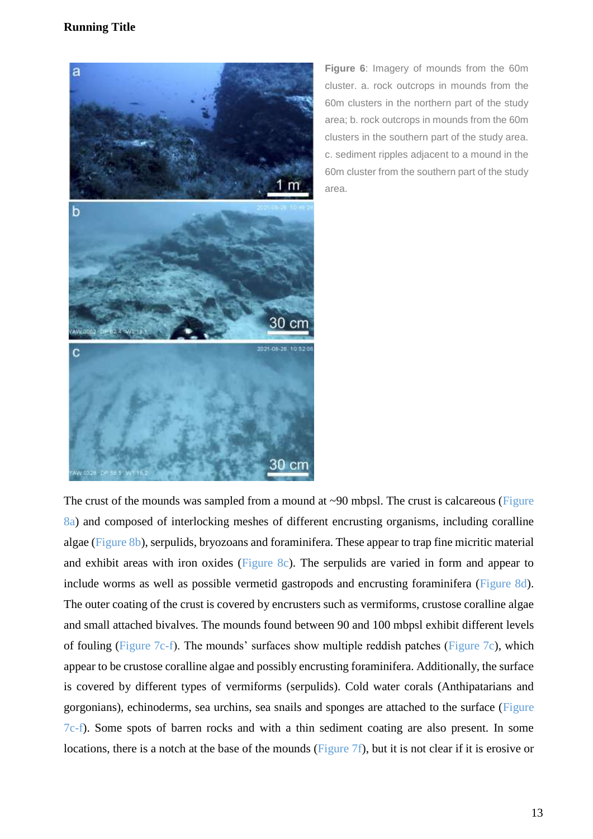

**Figure 6**: Imagery of mounds from the 60m cluster. a. rock outcrops in mounds from the 60m clusters in the northern part of the study area; b. rock outcrops in mounds from the 60m clusters in the southern part of the study area. c. sediment ripples adjacent to a mound in the 60m cluster from the southern part of the study area.

The crust of the mounds was sampled from a mound at ~90 mbpsl. The crust is calcareous (Figure 8a) and composed of interlocking meshes of different encrusting organisms, including coralline algae (Figure 8b), serpulids, bryozoans and foraminifera. These appear to trap fine micritic material and exhibit areas with iron oxides (Figure 8c). The serpulids are varied in form and appear to include worms as well as possible vermetid gastropods and encrusting foraminifera (Figure 8d). The outer coating of the crust is covered by encrusters such as vermiforms, crustose coralline algae and small attached bivalves. The mounds found between 90 and 100 mbpsl exhibit different levels of fouling (Figure 7c-f). The mounds' surfaces show multiple reddish patches (Figure 7c), which appear to be crustose coralline algae and possibly encrusting foraminifera. Additionally, the surface is covered by different types of vermiforms (serpulids). Cold water corals (Anthipatarians and gorgonians), echinoderms, sea urchins, sea snails and sponges are attached to the surface (Figure 7c-f). Some spots of barren rocks and with a thin sediment coating are also present. In some locations, there is a notch at the base of the mounds (Figure 7f), but it is not clear if it is erosive or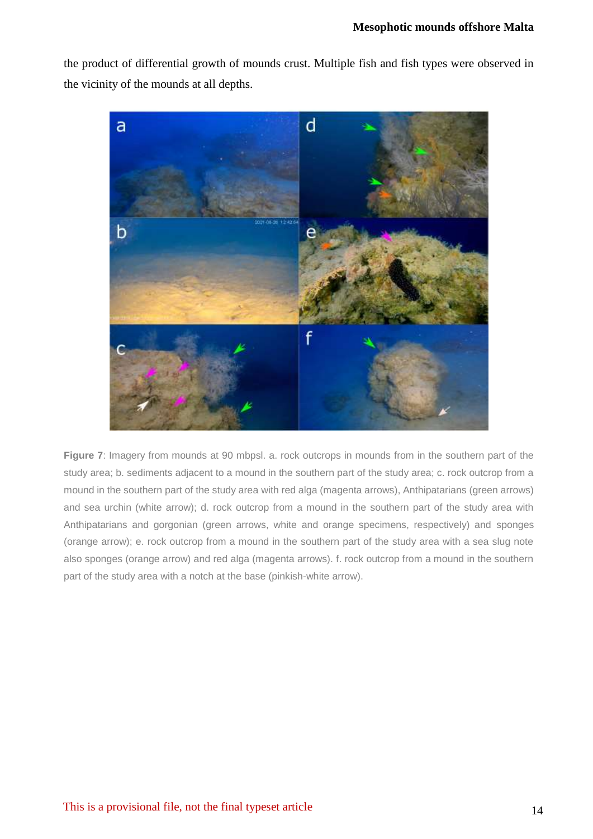the product of differential growth of mounds crust. Multiple fish and fish types were observed in the vicinity of the mounds at all depths.



**Figure 7**: Imagery from mounds at 90 mbpsl. a. rock outcrops in mounds from in the southern part of the study area; b. sediments adjacent to a mound in the southern part of the study area; c. rock outcrop from a mound in the southern part of the study area with red alga (magenta arrows), Anthipatarians (green arrows) and sea urchin (white arrow); d. rock outcrop from a mound in the southern part of the study area with Anthipatarians and gorgonian (green arrows, white and orange specimens, respectively) and sponges (orange arrow); e. rock outcrop from a mound in the southern part of the study area with a sea slug note also sponges (orange arrow) and red alga (magenta arrows). f. rock outcrop from a mound in the southern part of the study area with a notch at the base (pinkish-white arrow).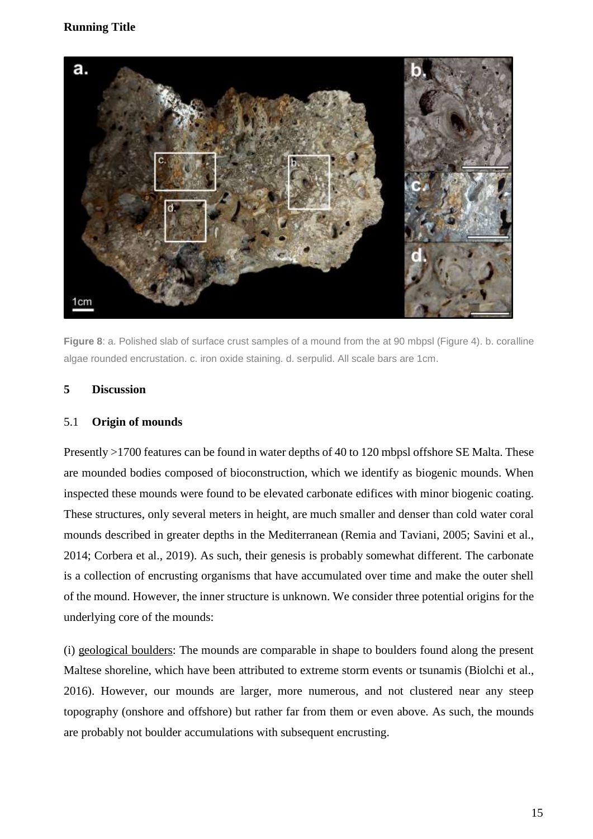

**Figure 8**: a. Polished slab of surface crust samples of a mound from the at 90 mbpsl (Figure 4). b. coralline algae rounded encrustation. c. iron oxide staining. d. serpulid. All scale bars are 1cm.

## **5 Discussion**

#### 5.1 **Origin of mounds**

Presently >1700 features can be found in water depths of 40 to 120 mbpsl offshore SE Malta. These are mounded bodies composed of bioconstruction, which we identify as biogenic mounds. When inspected these mounds were found to be elevated carbonate edifices with minor biogenic coating. These structures, only several meters in height, are much smaller and denser than cold water coral mounds described in greater depths in the Mediterranean (Remia and Taviani, 2005; Savini et al., 2014; Corbera et al., 2019). As such, their genesis is probably somewhat different. The carbonate is a collection of encrusting organisms that have accumulated over time and make the outer shell of the mound. However, the inner structure is unknown. We consider three potential origins for the underlying core of the mounds:

(i) geological boulders: The mounds are comparable in shape to boulders found along the present Maltese shoreline, which have been attributed to extreme storm events or tsunamis (Biolchi et al., 2016). However, our mounds are larger, more numerous, and not clustered near any steep topography (onshore and offshore) but rather far from them or even above. As such, the mounds are probably not boulder accumulations with subsequent encrusting.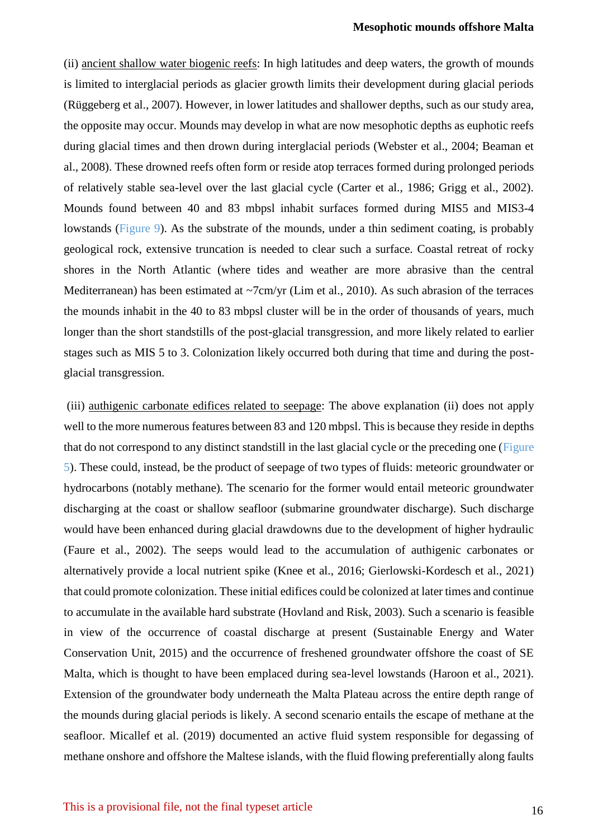(ii) ancient shallow water biogenic reefs: In high latitudes and deep waters, the growth of mounds is limited to interglacial periods as glacier growth limits their development during glacial periods (Rüggeberg et al., 2007). However, in lower latitudes and shallower depths, such as our study area, the opposite may occur. Mounds may develop in what are now mesophotic depths as euphotic reefs during glacial times and then drown during interglacial periods (Webster et al., 2004; Beaman et al., 2008). These drowned reefs often form or reside atop terraces formed during prolonged periods of relatively stable sea-level over the last glacial cycle (Carter et al., 1986; Grigg et al., 2002). Mounds found between 40 and 83 mbpsl inhabit surfaces formed during MIS5 and MIS3-4 lowstands (Figure 9). As the substrate of the mounds, under a thin sediment coating, is probably geological rock, extensive truncation is needed to clear such a surface. Coastal retreat of rocky shores in the North Atlantic (where tides and weather are more abrasive than the central Mediterranean) has been estimated at ~7cm/yr (Lim et al., 2010). As such abrasion of the terraces the mounds inhabit in the 40 to 83 mbpsl cluster will be in the order of thousands of years, much longer than the short standstills of the post-glacial transgression, and more likely related to earlier stages such as MIS 5 to 3. Colonization likely occurred both during that time and during the postglacial transgression.

(iii) authigenic carbonate edifices related to seepage: The above explanation (ii) does not apply well to the more numerous features between 83 and 120 mbpsl. This is because they reside in depths that do not correspond to any distinct standstill in the last glacial cycle or the preceding one (Figure 5). These could, instead, be the product of seepage of two types of fluids: meteoric groundwater or hydrocarbons (notably methane). The scenario for the former would entail meteoric groundwater discharging at the coast or shallow seafloor (submarine groundwater discharge). Such discharge would have been enhanced during glacial drawdowns due to the development of higher hydraulic (Faure et al., 2002). The seeps would lead to the accumulation of authigenic carbonates or alternatively provide a local nutrient spike (Knee et al., 2016; Gierlowski-Kordesch et al., 2021) that could promote colonization. These initial edifices could be colonized at later times and continue to accumulate in the available hard substrate (Hovland and Risk, 2003). Such a scenario is feasible in view of the occurrence of coastal discharge at present (Sustainable Energy and Water Conservation Unit, 2015) and the occurrence of freshened groundwater offshore the coast of SE Malta, which is thought to have been emplaced during sea-level lowstands (Haroon et al., 2021). Extension of the groundwater body underneath the Malta Plateau across the entire depth range of the mounds during glacial periods is likely. A second scenario entails the escape of methane at the seafloor. Micallef et al. (2019) documented an active fluid system responsible for degassing of methane onshore and offshore the Maltese islands, with the fluid flowing preferentially along faults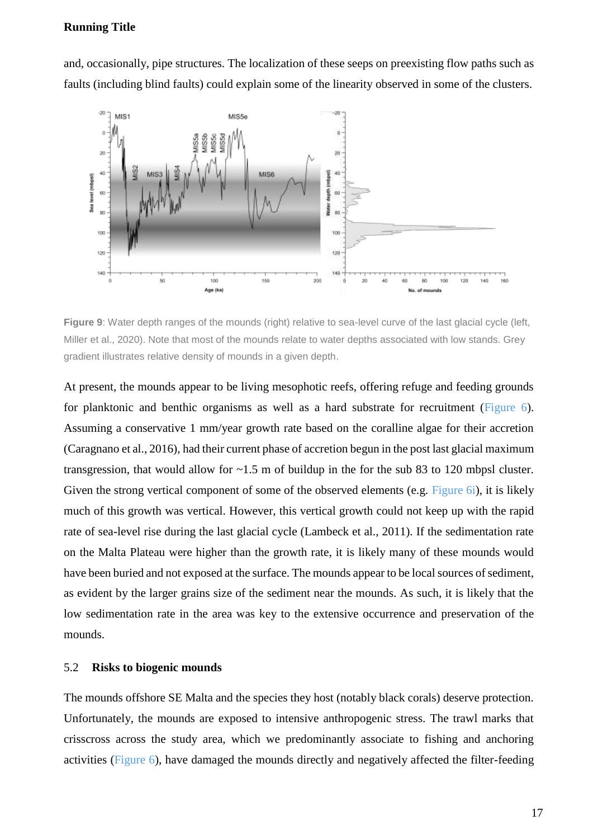and, occasionally, pipe structures. The localization of these seeps on preexisting flow paths such as faults (including blind faults) could explain some of the linearity observed in some of the clusters.



**Figure 9**: Water depth ranges of the mounds (right) relative to sea-level curve of the last glacial cycle (left, Miller et al., 2020). Note that most of the mounds relate to water depths associated with low stands. Grey gradient illustrates relative density of mounds in a given depth.

At present, the mounds appear to be living mesophotic reefs, offering refuge and feeding grounds for planktonic and benthic organisms as well as a hard substrate for recruitment (Figure 6). Assuming a conservative 1 mm/year growth rate based on the coralline algae for their accretion (Caragnano et al., 2016), had their current phase of accretion begun in the post last glacial maximum transgression, that would allow for  $\sim$ 1.5 m of buildup in the for the sub 83 to 120 mbpsl cluster. Given the strong vertical component of some of the observed elements (e.g. Figure 6i), it is likely much of this growth was vertical. However, this vertical growth could not keep up with the rapid rate of sea-level rise during the last glacial cycle (Lambeck et al., 2011). If the sedimentation rate on the Malta Plateau were higher than the growth rate, it is likely many of these mounds would have been buried and not exposed at the surface. The mounds appear to be local sources of sediment, as evident by the larger grains size of the sediment near the mounds. As such, it is likely that the low sedimentation rate in the area was key to the extensive occurrence and preservation of the mounds.

#### 5.2 **Risks to biogenic mounds**

The mounds offshore SE Malta and the species they host (notably black corals) deserve protection. Unfortunately, the mounds are exposed to intensive anthropogenic stress. The trawl marks that crisscross across the study area, which we predominantly associate to fishing and anchoring activities (Figure 6), have damaged the mounds directly and negatively affected the filter-feeding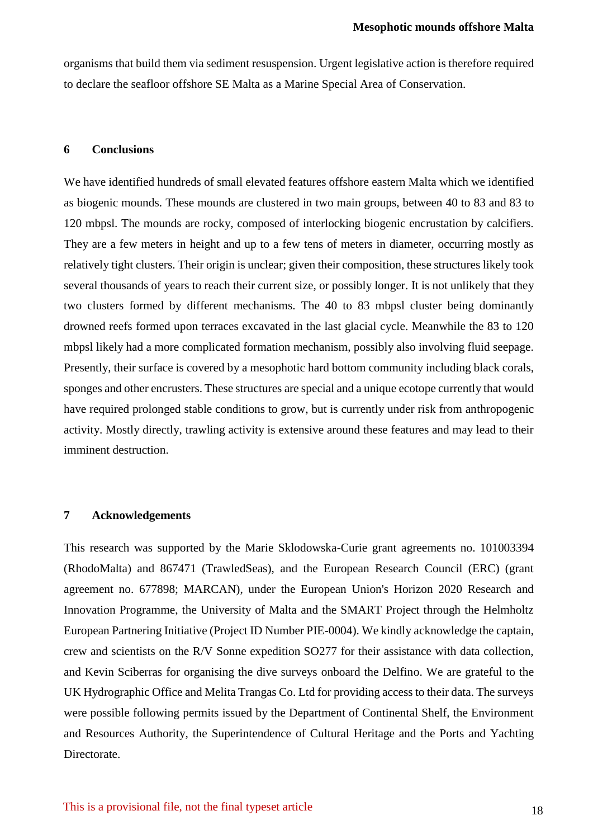organisms that build them via sediment resuspension. Urgent legislative action is therefore required to declare the seafloor offshore SE Malta as a Marine Special Area of Conservation.

# **6 Conclusions**

We have identified hundreds of small elevated features offshore eastern Malta which we identified as biogenic mounds. These mounds are clustered in two main groups, between 40 to 83 and 83 to 120 mbpsl. The mounds are rocky, composed of interlocking biogenic encrustation by calcifiers. They are a few meters in height and up to a few tens of meters in diameter, occurring mostly as relatively tight clusters. Their origin is unclear; given their composition, these structures likely took several thousands of years to reach their current size, or possibly longer. It is not unlikely that they two clusters formed by different mechanisms. The 40 to 83 mbpsl cluster being dominantly drowned reefs formed upon terraces excavated in the last glacial cycle. Meanwhile the 83 to 120 mbpsl likely had a more complicated formation mechanism, possibly also involving fluid seepage. Presently, their surface is covered by a mesophotic hard bottom community including black corals, sponges and other encrusters. These structures are special and a unique ecotope currently that would have required prolonged stable conditions to grow, but is currently under risk from anthropogenic activity. Mostly directly, trawling activity is extensive around these features and may lead to their imminent destruction.

#### **7 Acknowledgements**

This research was supported by the Marie Sklodowska-Curie grant agreements no. 101003394 (RhodoMalta) and 867471 (TrawledSeas), and the European Research Council (ERC) (grant agreement no. 677898; MARCAN), under the European Union's Horizon 2020 Research and Innovation Programme, the University of Malta and the SMART Project through the Helmholtz European Partnering Initiative (Project ID Number PIE-0004). We kindly acknowledge the captain, crew and scientists on the R/V Sonne expedition SO277 for their assistance with data collection, and Kevin Sciberras for organising the dive surveys onboard the Delfino. We are grateful to the UK Hydrographic Office and Melita Trangas Co. Ltd for providing access to their data. The surveys were possible following permits issued by the Department of Continental Shelf, the Environment and Resources Authority, the Superintendence of Cultural Heritage and the Ports and Yachting Directorate.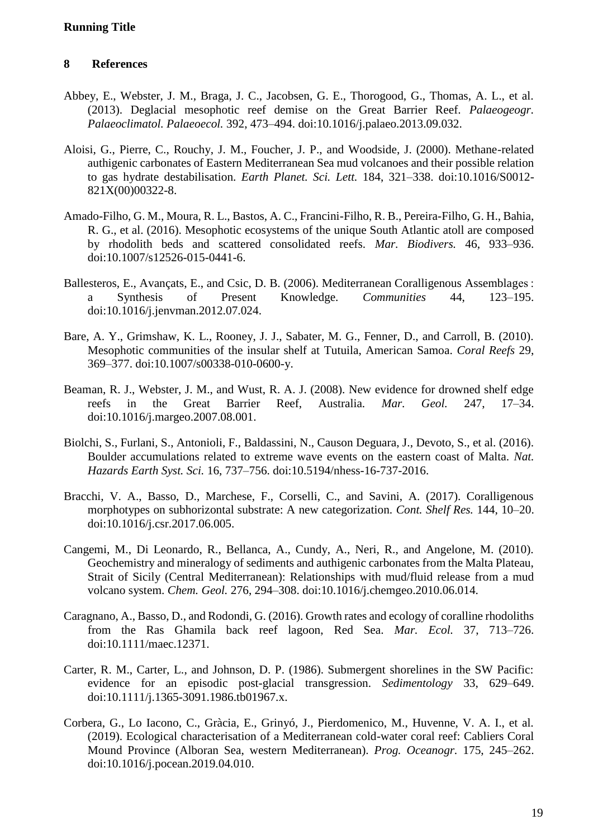# **8 References**

- Abbey, E., Webster, J. M., Braga, J. C., Jacobsen, G. E., Thorogood, G., Thomas, A. L., et al. (2013). Deglacial mesophotic reef demise on the Great Barrier Reef. *Palaeogeogr. Palaeoclimatol. Palaeoecol.* 392, 473–494. doi:10.1016/j.palaeo.2013.09.032.
- Aloisi, G., Pierre, C., Rouchy, J. M., Foucher, J. P., and Woodside, J. (2000). Methane-related authigenic carbonates of Eastern Mediterranean Sea mud volcanoes and their possible relation to gas hydrate destabilisation. *Earth Planet. Sci. Lett.* 184, 321–338. doi:10.1016/S0012- 821X(00)00322-8.
- Amado-Filho, G. M., Moura, R. L., Bastos, A. C., Francini-Filho, R. B., Pereira-Filho, G. H., Bahia, R. G., et al. (2016). Mesophotic ecosystems of the unique South Atlantic atoll are composed by rhodolith beds and scattered consolidated reefs. *Mar. Biodivers.* 46, 933–936. doi:10.1007/s12526-015-0441-6.
- Ballesteros, E., Avançats, E., and Csic, D. B. (2006). Mediterranean Coralligenous Assemblages : a Synthesis of Present Knowledge. *Communities* 44, 123–195. doi:10.1016/j.jenvman.2012.07.024.
- Bare, A. Y., Grimshaw, K. L., Rooney, J. J., Sabater, M. G., Fenner, D., and Carroll, B. (2010). Mesophotic communities of the insular shelf at Tutuila, American Samoa. *Coral Reefs* 29, 369–377. doi:10.1007/s00338-010-0600-y.
- Beaman, R. J., Webster, J. M., and Wust, R. A. J. (2008). New evidence for drowned shelf edge reefs in the Great Barrier Reef, Australia. *Mar. Geol.* 247, 17–34. doi:10.1016/j.margeo.2007.08.001.
- Biolchi, S., Furlani, S., Antonioli, F., Baldassini, N., Causon Deguara, J., Devoto, S., et al. (2016). Boulder accumulations related to extreme wave events on the eastern coast of Malta. *Nat. Hazards Earth Syst. Sci.* 16, 737–756. doi:10.5194/nhess-16-737-2016.
- Bracchi, V. A., Basso, D., Marchese, F., Corselli, C., and Savini, A. (2017). Coralligenous morphotypes on subhorizontal substrate: A new categorization. *Cont. Shelf Res.* 144, 10–20. doi:10.1016/j.csr.2017.06.005.
- Cangemi, M., Di Leonardo, R., Bellanca, A., Cundy, A., Neri, R., and Angelone, M. (2010). Geochemistry and mineralogy of sediments and authigenic carbonates from the Malta Plateau, Strait of Sicily (Central Mediterranean): Relationships with mud/fluid release from a mud volcano system. *Chem. Geol.* 276, 294–308. doi:10.1016/j.chemgeo.2010.06.014.
- Caragnano, A., Basso, D., and Rodondi, G. (2016). Growth rates and ecology of coralline rhodoliths from the Ras Ghamila back reef lagoon, Red Sea. *Mar. Ecol.* 37, 713–726. doi:10.1111/maec.12371.
- Carter, R. M., Carter, L., and Johnson, D. P. (1986). Submergent shorelines in the SW Pacific: evidence for an episodic post-glacial transgression. *Sedimentology* 33, 629–649. doi:10.1111/j.1365-3091.1986.tb01967.x.
- Corbera, G., Lo Iacono, C., Gràcia, E., Grinyó, J., Pierdomenico, M., Huvenne, V. A. I., et al. (2019). Ecological characterisation of a Mediterranean cold-water coral reef: Cabliers Coral Mound Province (Alboran Sea, western Mediterranean). *Prog. Oceanogr.* 175, 245–262. doi:10.1016/j.pocean.2019.04.010.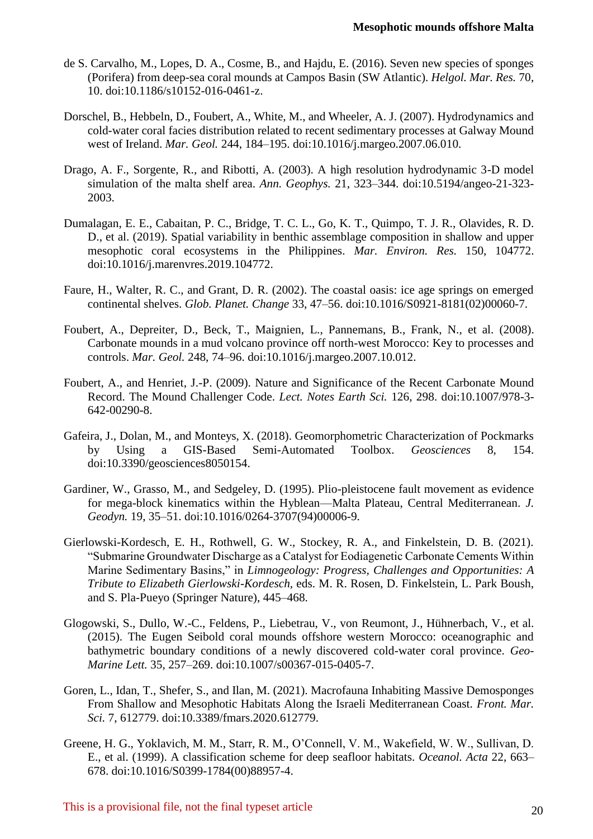- de S. Carvalho, M., Lopes, D. A., Cosme, B., and Hajdu, E. (2016). Seven new species of sponges (Porifera) from deep-sea coral mounds at Campos Basin (SW Atlantic). *Helgol. Mar. Res.* 70, 10. doi:10.1186/s10152-016-0461-z.
- Dorschel, B., Hebbeln, D., Foubert, A., White, M., and Wheeler, A. J. (2007). Hydrodynamics and cold-water coral facies distribution related to recent sedimentary processes at Galway Mound west of Ireland. *Mar. Geol.* 244, 184–195. doi:10.1016/j.margeo.2007.06.010.
- Drago, A. F., Sorgente, R., and Ribotti, A. (2003). A high resolution hydrodynamic 3-D model simulation of the malta shelf area. *Ann. Geophys.* 21, 323–344. doi:10.5194/angeo-21-323- 2003.
- Dumalagan, E. E., Cabaitan, P. C., Bridge, T. C. L., Go, K. T., Quimpo, T. J. R., Olavides, R. D. D., et al. (2019). Spatial variability in benthic assemblage composition in shallow and upper mesophotic coral ecosystems in the Philippines. *Mar. Environ. Res.* 150, 104772. doi:10.1016/j.marenvres.2019.104772.
- Faure, H., Walter, R. C., and Grant, D. R. (2002). The coastal oasis: ice age springs on emerged continental shelves. *Glob. Planet. Change* 33, 47–56. doi:10.1016/S0921-8181(02)00060-7.
- Foubert, A., Depreiter, D., Beck, T., Maignien, L., Pannemans, B., Frank, N., et al. (2008). Carbonate mounds in a mud volcano province off north-west Morocco: Key to processes and controls. *Mar. Geol.* 248, 74–96. doi:10.1016/j.margeo.2007.10.012.
- Foubert, A., and Henriet, J.-P. (2009). Nature and Significance of the Recent Carbonate Mound Record. The Mound Challenger Code. *Lect. Notes Earth Sci.* 126, 298. doi:10.1007/978-3- 642-00290-8.
- Gafeira, J., Dolan, M., and Monteys, X. (2018). Geomorphometric Characterization of Pockmarks by Using a GIS-Based Semi-Automated Toolbox. *Geosciences* 8, 154. doi:10.3390/geosciences8050154.
- Gardiner, W., Grasso, M., and Sedgeley, D. (1995). Plio-pleistocene fault movement as evidence for mega-block kinematics within the Hyblean—Malta Plateau, Central Mediterranean. *J. Geodyn.* 19, 35–51. doi:10.1016/0264-3707(94)00006-9.
- Gierlowski-Kordesch, E. H., Rothwell, G. W., Stockey, R. A., and Finkelstein, D. B. (2021). "Submarine Groundwater Discharge as a Catalyst for Eodiagenetic Carbonate Cements Within Marine Sedimentary Basins," in *Limnogeology: Progress, Challenges and Opportunities: A Tribute to Elizabeth Gierlowski-Kordesch*, eds. M. R. Rosen, D. Finkelstein, L. Park Boush, and S. Pla-Pueyo (Springer Nature), 445–468.
- Glogowski, S., Dullo, W.-C., Feldens, P., Liebetrau, V., von Reumont, J., Hühnerbach, V., et al. (2015). The Eugen Seibold coral mounds offshore western Morocco: oceanographic and bathymetric boundary conditions of a newly discovered cold-water coral province. *Geo-Marine Lett.* 35, 257–269. doi:10.1007/s00367-015-0405-7.
- Goren, L., Idan, T., Shefer, S., and Ilan, M. (2021). Macrofauna Inhabiting Massive Demosponges From Shallow and Mesophotic Habitats Along the Israeli Mediterranean Coast. *Front. Mar. Sci.* 7, 612779. doi:10.3389/fmars.2020.612779.
- Greene, H. G., Yoklavich, M. M., Starr, R. M., O'Connell, V. M., Wakefield, W. W., Sullivan, D. E., et al. (1999). A classification scheme for deep seafloor habitats. *Oceanol. Acta* 22, 663– 678. doi:10.1016/S0399-1784(00)88957-4.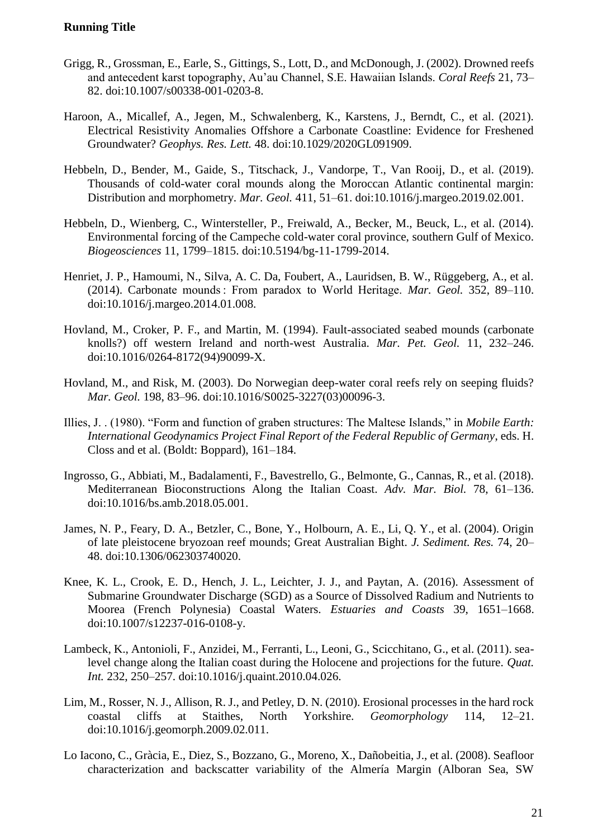- Grigg, R., Grossman, E., Earle, S., Gittings, S., Lott, D., and McDonough, J. (2002). Drowned reefs and antecedent karst topography, Au'au Channel, S.E. Hawaiian Islands. *Coral Reefs* 21, 73– 82. doi:10.1007/s00338-001-0203-8.
- Haroon, A., Micallef, A., Jegen, M., Schwalenberg, K., Karstens, J., Berndt, C., et al. (2021). Electrical Resistivity Anomalies Offshore a Carbonate Coastline: Evidence for Freshened Groundwater? *Geophys. Res. Lett.* 48. doi:10.1029/2020GL091909.
- Hebbeln, D., Bender, M., Gaide, S., Titschack, J., Vandorpe, T., Van Rooij, D., et al. (2019). Thousands of cold-water coral mounds along the Moroccan Atlantic continental margin: Distribution and morphometry. *Mar. Geol.* 411, 51–61. doi:10.1016/j.margeo.2019.02.001.
- Hebbeln, D., Wienberg, C., Wintersteller, P., Freiwald, A., Becker, M., Beuck, L., et al. (2014). Environmental forcing of the Campeche cold-water coral province, southern Gulf of Mexico. *Biogeosciences* 11, 1799–1815. doi:10.5194/bg-11-1799-2014.
- Henriet, J. P., Hamoumi, N., Silva, A. C. Da, Foubert, A., Lauridsen, B. W., Rüggeberg, A., et al. (2014). Carbonate mounds : From paradox to World Heritage. *Mar. Geol.* 352, 89–110. doi:10.1016/j.margeo.2014.01.008.
- Hovland, M., Croker, P. F., and Martin, M. (1994). Fault-associated seabed mounds (carbonate knolls?) off western Ireland and north-west Australia. *Mar. Pet. Geol.* 11, 232–246. doi:10.1016/0264-8172(94)90099-X.
- Hovland, M., and Risk, M. (2003). Do Norwegian deep-water coral reefs rely on seeping fluids? *Mar. Geol.* 198, 83–96. doi:10.1016/S0025-3227(03)00096-3.
- Illies, J. . (1980). "Form and function of graben structures: The Maltese Islands," in *Mobile Earth: International Geodynamics Project Final Report of the Federal Republic of Germany*, eds. H. Closs and et al. (Boldt: Boppard), 161–184.
- Ingrosso, G., Abbiati, M., Badalamenti, F., Bavestrello, G., Belmonte, G., Cannas, R., et al. (2018). Mediterranean Bioconstructions Along the Italian Coast. *Adv. Mar. Biol.* 78, 61–136. doi:10.1016/bs.amb.2018.05.001.
- James, N. P., Feary, D. A., Betzler, C., Bone, Y., Holbourn, A. E., Li, Q. Y., et al. (2004). Origin of late pleistocene bryozoan reef mounds; Great Australian Bight. *J. Sediment. Res.* 74, 20– 48. doi:10.1306/062303740020.
- Knee, K. L., Crook, E. D., Hench, J. L., Leichter, J. J., and Paytan, A. (2016). Assessment of Submarine Groundwater Discharge (SGD) as a Source of Dissolved Radium and Nutrients to Moorea (French Polynesia) Coastal Waters. *Estuaries and Coasts* 39, 1651–1668. doi:10.1007/s12237-016-0108-y.
- Lambeck, K., Antonioli, F., Anzidei, M., Ferranti, L., Leoni, G., Scicchitano, G., et al. (2011). sealevel change along the Italian coast during the Holocene and projections for the future. *Quat. Int.* 232, 250–257. doi:10.1016/j.quaint.2010.04.026.
- Lim, M., Rosser, N. J., Allison, R. J., and Petley, D. N. (2010). Erosional processes in the hard rock coastal cliffs at Staithes, North Yorkshire. *Geomorphology* 114, 12–21. doi:10.1016/j.geomorph.2009.02.011.
- Lo Iacono, C., Gràcia, E., Diez, S., Bozzano, G., Moreno, X., Dañobeitia, J., et al. (2008). Seafloor characterization and backscatter variability of the Almería Margin (Alboran Sea, SW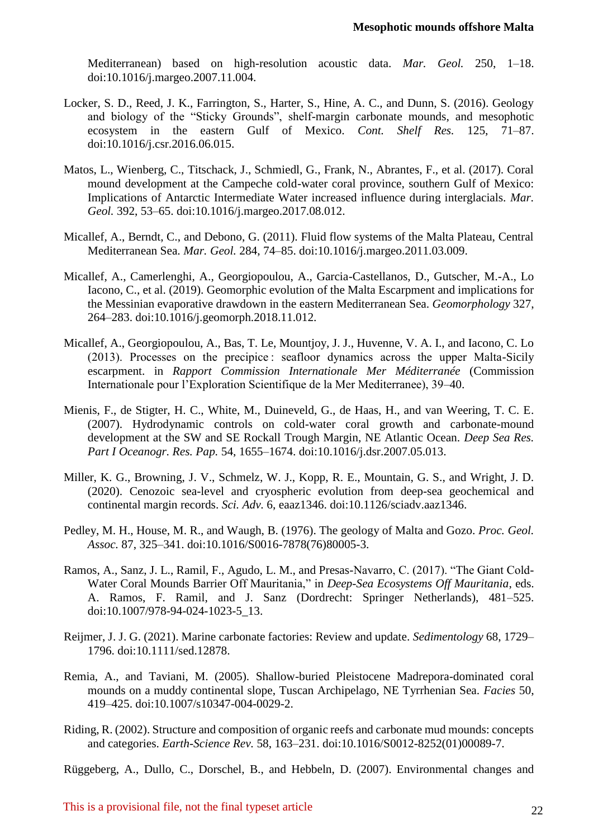Mediterranean) based on high-resolution acoustic data. *Mar. Geol.* 250, 1–18. doi:10.1016/j.margeo.2007.11.004.

- Locker, S. D., Reed, J. K., Farrington, S., Harter, S., Hine, A. C., and Dunn, S. (2016). Geology and biology of the "Sticky Grounds", shelf-margin carbonate mounds, and mesophotic ecosystem in the eastern Gulf of Mexico. *Cont. Shelf Res.* 125, 71–87. doi:10.1016/j.csr.2016.06.015.
- Matos, L., Wienberg, C., Titschack, J., Schmiedl, G., Frank, N., Abrantes, F., et al. (2017). Coral mound development at the Campeche cold-water coral province, southern Gulf of Mexico: Implications of Antarctic Intermediate Water increased influence during interglacials. *Mar. Geol.* 392, 53–65. doi:10.1016/j.margeo.2017.08.012.
- Micallef, A., Berndt, C., and Debono, G. (2011). Fluid flow systems of the Malta Plateau, Central Mediterranean Sea. *Mar. Geol.* 284, 74–85. doi:10.1016/j.margeo.2011.03.009.
- Micallef, A., Camerlenghi, A., Georgiopoulou, A., Garcia-Castellanos, D., Gutscher, M.-A., Lo Iacono, C., et al. (2019). Geomorphic evolution of the Malta Escarpment and implications for the Messinian evaporative drawdown in the eastern Mediterranean Sea. *Geomorphology* 327, 264–283. doi:10.1016/j.geomorph.2018.11.012.
- Micallef, A., Georgiopoulou, A., Bas, T. Le, Mountjoy, J. J., Huvenne, V. A. I., and Iacono, C. Lo (2013). Processes on the precipice : seafloor dynamics across the upper Malta-Sicily escarpment. in *Rapport Commission Internationale Mer Méditerranée* (Commission Internationale pour l'Exploration Scientifique de la Mer Mediterranee), 39–40.
- Mienis, F., de Stigter, H. C., White, M., Duineveld, G., de Haas, H., and van Weering, T. C. E. (2007). Hydrodynamic controls on cold-water coral growth and carbonate-mound development at the SW and SE Rockall Trough Margin, NE Atlantic Ocean. *Deep Sea Res. Part I Oceanogr. Res. Pap.* 54, 1655–1674. doi:10.1016/j.dsr.2007.05.013.
- Miller, K. G., Browning, J. V., Schmelz, W. J., Kopp, R. E., Mountain, G. S., and Wright, J. D. (2020). Cenozoic sea-level and cryospheric evolution from deep-sea geochemical and continental margin records. *Sci. Adv.* 6, eaaz1346. doi:10.1126/sciadv.aaz1346.
- Pedley, M. H., House, M. R., and Waugh, B. (1976). The geology of Malta and Gozo. *Proc. Geol. Assoc.* 87, 325–341. doi:10.1016/S0016-7878(76)80005-3.
- Ramos, A., Sanz, J. L., Ramil, F., Agudo, L. M., and Presas-Navarro, C. (2017). "The Giant Cold-Water Coral Mounds Barrier Off Mauritania," in *Deep-Sea Ecosystems Off Mauritania*, eds. A. Ramos, F. Ramil, and J. Sanz (Dordrecht: Springer Netherlands), 481–525. doi:10.1007/978-94-024-1023-5\_13.
- Reijmer, J. J. G. (2021). Marine carbonate factories: Review and update. *Sedimentology* 68, 1729– 1796. doi:10.1111/sed.12878.
- Remia, A., and Taviani, M. (2005). Shallow-buried Pleistocene Madrepora-dominated coral mounds on a muddy continental slope, Tuscan Archipelago, NE Tyrrhenian Sea. *Facies* 50, 419–425. doi:10.1007/s10347-004-0029-2.
- Riding, R. (2002). Structure and composition of organic reefs and carbonate mud mounds: concepts and categories. *Earth-Science Rev.* 58, 163–231. doi:10.1016/S0012-8252(01)00089-7.

Rüggeberg, A., Dullo, C., Dorschel, B., and Hebbeln, D. (2007). Environmental changes and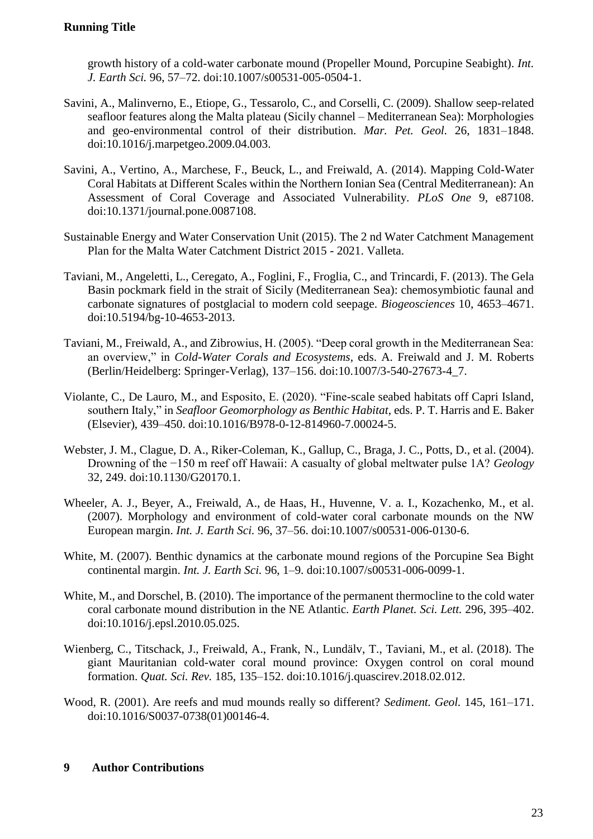growth history of a cold-water carbonate mound (Propeller Mound, Porcupine Seabight). *Int. J. Earth Sci.* 96, 57–72. doi:10.1007/s00531-005-0504-1.

- Savini, A., Malinverno, E., Etiope, G., Tessarolo, C., and Corselli, C. (2009). Shallow seep-related seafloor features along the Malta plateau (Sicily channel – Mediterranean Sea): Morphologies and geo-environmental control of their distribution. *Mar. Pet. Geol.* 26, 1831–1848. doi:10.1016/j.marpetgeo.2009.04.003.
- Savini, A., Vertino, A., Marchese, F., Beuck, L., and Freiwald, A. (2014). Mapping Cold-Water Coral Habitats at Different Scales within the Northern Ionian Sea (Central Mediterranean): An Assessment of Coral Coverage and Associated Vulnerability. *PLoS One* 9, e87108. doi:10.1371/journal.pone.0087108.
- Sustainable Energy and Water Conservation Unit (2015). The 2 nd Water Catchment Management Plan for the Malta Water Catchment District 2015 - 2021. Valleta.
- Taviani, M., Angeletti, L., Ceregato, A., Foglini, F., Froglia, C., and Trincardi, F. (2013). The Gela Basin pockmark field in the strait of Sicily (Mediterranean Sea): chemosymbiotic faunal and carbonate signatures of postglacial to modern cold seepage. *Biogeosciences* 10, 4653–4671. doi:10.5194/bg-10-4653-2013.
- Taviani, M., Freiwald, A., and Zibrowius, H. (2005). "Deep coral growth in the Mediterranean Sea: an overview," in *Cold-Water Corals and Ecosystems*, eds. A. Freiwald and J. M. Roberts (Berlin/Heidelberg: Springer-Verlag), 137–156. doi:10.1007/3-540-27673-4\_7.
- Violante, C., De Lauro, M., and Esposito, E. (2020). "Fine-scale seabed habitats off Capri Island, southern Italy," in *Seafloor Geomorphology as Benthic Habitat*, eds. P. T. Harris and E. Baker (Elsevier), 439–450. doi:10.1016/B978-0-12-814960-7.00024-5.
- Webster, J. M., Clague, D. A., Riker-Coleman, K., Gallup, C., Braga, J. C., Potts, D., et al. (2004). Drowning of the −150 m reef off Hawaii: A casualty of global meltwater pulse 1A? *Geology* 32, 249. doi:10.1130/G20170.1.
- Wheeler, A. J., Beyer, A., Freiwald, A., de Haas, H., Huvenne, V. a. I., Kozachenko, M., et al. (2007). Morphology and environment of cold-water coral carbonate mounds on the NW European margin. *Int. J. Earth Sci.* 96, 37–56. doi:10.1007/s00531-006-0130-6.
- White, M. (2007). Benthic dynamics at the carbonate mound regions of the Porcupine Sea Bight continental margin. *Int. J. Earth Sci.* 96, 1–9. doi:10.1007/s00531-006-0099-1.
- White, M., and Dorschel, B. (2010). The importance of the permanent thermocline to the cold water coral carbonate mound distribution in the NE Atlantic. *Earth Planet. Sci. Lett.* 296, 395–402. doi:10.1016/j.epsl.2010.05.025.
- Wienberg, C., Titschack, J., Freiwald, A., Frank, N., Lundälv, T., Taviani, M., et al. (2018). The giant Mauritanian cold-water coral mound province: Oxygen control on coral mound formation. *Quat. Sci. Rev.* 185, 135–152. doi:10.1016/j.quascirev.2018.02.012.
- Wood, R. (2001). Are reefs and mud mounds really so different? *Sediment. Geol.* 145, 161–171. doi:10.1016/S0037-0738(01)00146-4.

# **9 Author Contributions**